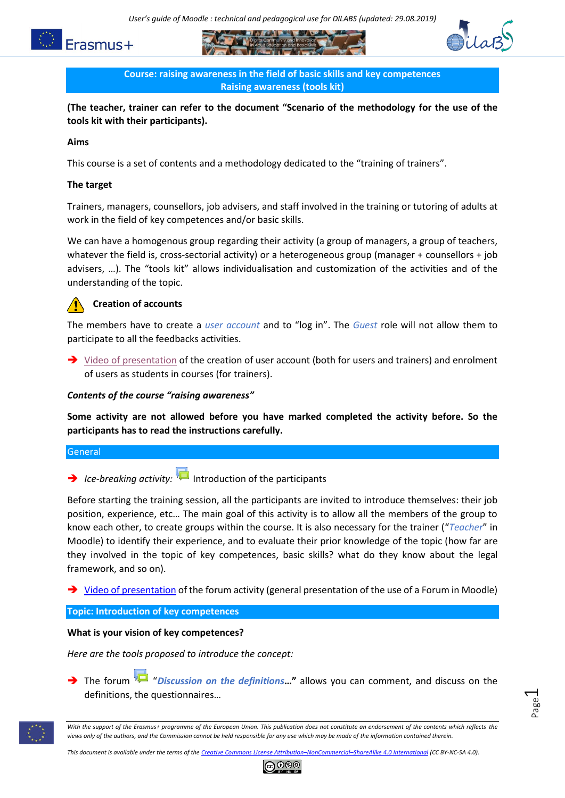





**Course: raising awareness in the field of basic skills and key competences Raising awareness (tools kit)**

**(The teacher, trainer can refer to the document "Scenario of the methodology for the use of the tools kit with their participants).**

### **Aims**

This course is a set of contents and a methodology dedicated to the "training of trainers".

### **The target**

Trainers, managers, counsellors, job advisers, and staff involved in the training or tutoring of adults at work in the field of key competences and/or basic skills.

We can have a homogenous group regarding their activity (a group of managers, a group of teachers, whatever the field is, cross-sectorial activity) or a heterogeneous group (manager + counsellors + job advisers, …). The "tools kit" allows individualisation and customization of the activities and of the understanding of the topic.

# **Creation of accounts**

The members have to create a *user account* and to "log in". The *Guest* role will not allow them to participate to all the feedbacks activities.

 $\rightarrow$  [Video of presentation](https://www.youtube.com/watch?v=HdrlTEkT2AE) of the creation of user account (both for users and trainers) and enrolment of users as students in courses (for trainers).

### *Contents of the course "raising awareness"*

**Some activity are not allowed before you have marked completed the activity before. So the participants has to read the instructions carefully.**

### General

**Ice-breaking activity:** Introduction of the participants

Before starting the training session, all the participants are invited to introduce themselves: their job position, experience, etc… The main goal of this activity is to allow all the members of the group to know each other, to create groups within the course. It is also necessary for the trainer ("*Teacher*" in Moodle) to identify their experience, and to evaluate their prior knowledge of the topic (how far are they involved in the topic of key competences, basic skills? what do they know about the legal framework, and so on).

→ [Video of presentation](https://www.youtube.com/watch?v=ZvTR-KndHv4) of the forum activity (general presentation of the use of a Forum in Moodle)

#### **Topic: Introduction of key competences**

#### **What is your vision of key competences?**

*Here are the tools proposed to introduce the concept:*

 The forum "*Discussion on the definitions***…"** allows you can comment, and discuss on the definitions, the questionnaires…



*This document is available under the terms of the Creative Commons License Attribution–NonCommercial–[ShareAlike 4.0 International](http://creativecommons.org/licenses/by-nc-sa/4.0/) (CC BY-NC-SA 4.0).*